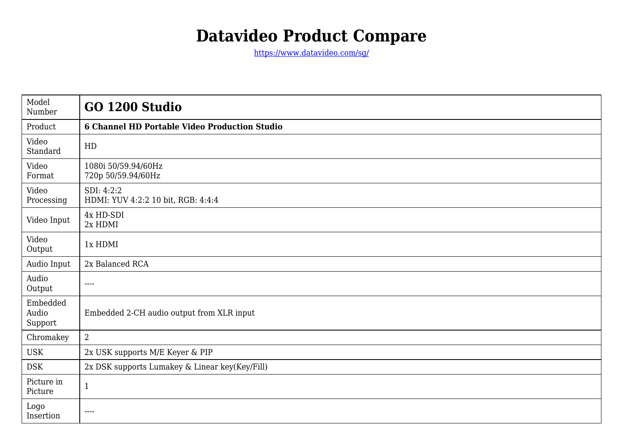## **Datavideo Product Compare**

<https://www.datavideo.com/sg/>

| Model<br>Number              | GO 1200 Studio                                                                                                                                                                                                                                                                                                                                                                               |
|------------------------------|----------------------------------------------------------------------------------------------------------------------------------------------------------------------------------------------------------------------------------------------------------------------------------------------------------------------------------------------------------------------------------------------|
| Product                      | <b>6 Channel HD Portable Video Production Studio</b>                                                                                                                                                                                                                                                                                                                                         |
| Video<br>Standard            | HD                                                                                                                                                                                                                                                                                                                                                                                           |
| Video<br>Format              | 1080i 50/59.94/60Hz<br>720p 50/59.94/60Hz                                                                                                                                                                                                                                                                                                                                                    |
| Video<br>Processing          | SDI: 4:2:2<br>HDMI: YUV 4:2:2 10 bit, RGB: 4:4:4                                                                                                                                                                                                                                                                                                                                             |
| Video Input                  | 4x HD-SDI<br>2x HDMI                                                                                                                                                                                                                                                                                                                                                                         |
| Video<br>Output              | 1x HDMI                                                                                                                                                                                                                                                                                                                                                                                      |
| Audio Input                  | 2x Balanced RCA                                                                                                                                                                                                                                                                                                                                                                              |
| Audio<br>Output              | $\frac{1}{2} \frac{1}{2} \frac{1}{2} \frac{1}{2} \frac{1}{2} \frac{1}{2} \frac{1}{2} \frac{1}{2} \frac{1}{2} \frac{1}{2} \frac{1}{2} \frac{1}{2} \frac{1}{2} \frac{1}{2} \frac{1}{2} \frac{1}{2} \frac{1}{2} \frac{1}{2} \frac{1}{2} \frac{1}{2} \frac{1}{2} \frac{1}{2} \frac{1}{2} \frac{1}{2} \frac{1}{2} \frac{1}{2} \frac{1}{2} \frac{1}{2} \frac{1}{2} \frac{1}{2} \frac{1}{2} \frac{$ |
| Embedded<br>Audio<br>Support | Embedded 2-CH audio output from XLR input                                                                                                                                                                                                                                                                                                                                                    |
| Chromakey                    | $\overline{2}$                                                                                                                                                                                                                                                                                                                                                                               |
| <b>USK</b>                   | 2x USK supports M/E Keyer & PIP                                                                                                                                                                                                                                                                                                                                                              |
| <b>DSK</b>                   | 2x DSK supports Lumakey & Linear key(Key/Fill)                                                                                                                                                                                                                                                                                                                                               |
| Picture in<br>Picture        | $\mathbf{1}$                                                                                                                                                                                                                                                                                                                                                                                 |
| Logo<br>Insertion            | ----                                                                                                                                                                                                                                                                                                                                                                                         |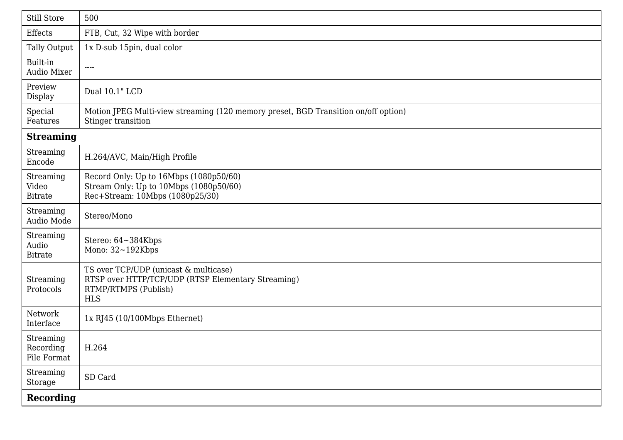| Still Store                           | 500                                                                                                                               |  |  |
|---------------------------------------|-----------------------------------------------------------------------------------------------------------------------------------|--|--|
| <b>Effects</b>                        | FTB, Cut, 32 Wipe with border                                                                                                     |  |  |
| Tally Output                          | 1x D-sub 15pin, dual color                                                                                                        |  |  |
| Built-in<br>Audio Mixer               | $\qquad \qquad - - -$                                                                                                             |  |  |
| Preview<br>Display                    | Dual 10.1" LCD                                                                                                                    |  |  |
| Special<br>Features                   | Motion JPEG Multi-view streaming (120 memory preset, BGD Transition on/off option)<br>Stinger transition                          |  |  |
| <b>Streaming</b>                      |                                                                                                                                   |  |  |
| Streaming<br>Encode                   | H.264/AVC, Main/High Profile                                                                                                      |  |  |
| Streaming<br>Video<br><b>Bitrate</b>  | Record Only: Up to 16Mbps (1080p50/60)<br>Stream Only: Up to 10Mbps (1080p50/60)<br>Rec+Stream: 10Mbps (1080p25/30)               |  |  |
| Streaming<br>Audio Mode               | Stereo/Mono                                                                                                                       |  |  |
| Streaming<br>Audio<br><b>Bitrate</b>  | Stereo: 64~384Kbps<br>Mono: 32~192Kbps                                                                                            |  |  |
| Streaming<br>Protocols                | TS over TCP/UDP (unicast & multicase)<br>RTSP over HTTP/TCP/UDP (RTSP Elementary Streaming)<br>RTMP/RTMPS (Publish)<br><b>HLS</b> |  |  |
| Network<br>Interface                  | $1x$ RJ45 (10/100Mbps Ethernet)                                                                                                   |  |  |
| Streaming<br>Recording<br>File Format | H.264                                                                                                                             |  |  |
| Streaming<br>Storage                  | SD Card                                                                                                                           |  |  |
| <b>Recording</b>                      |                                                                                                                                   |  |  |